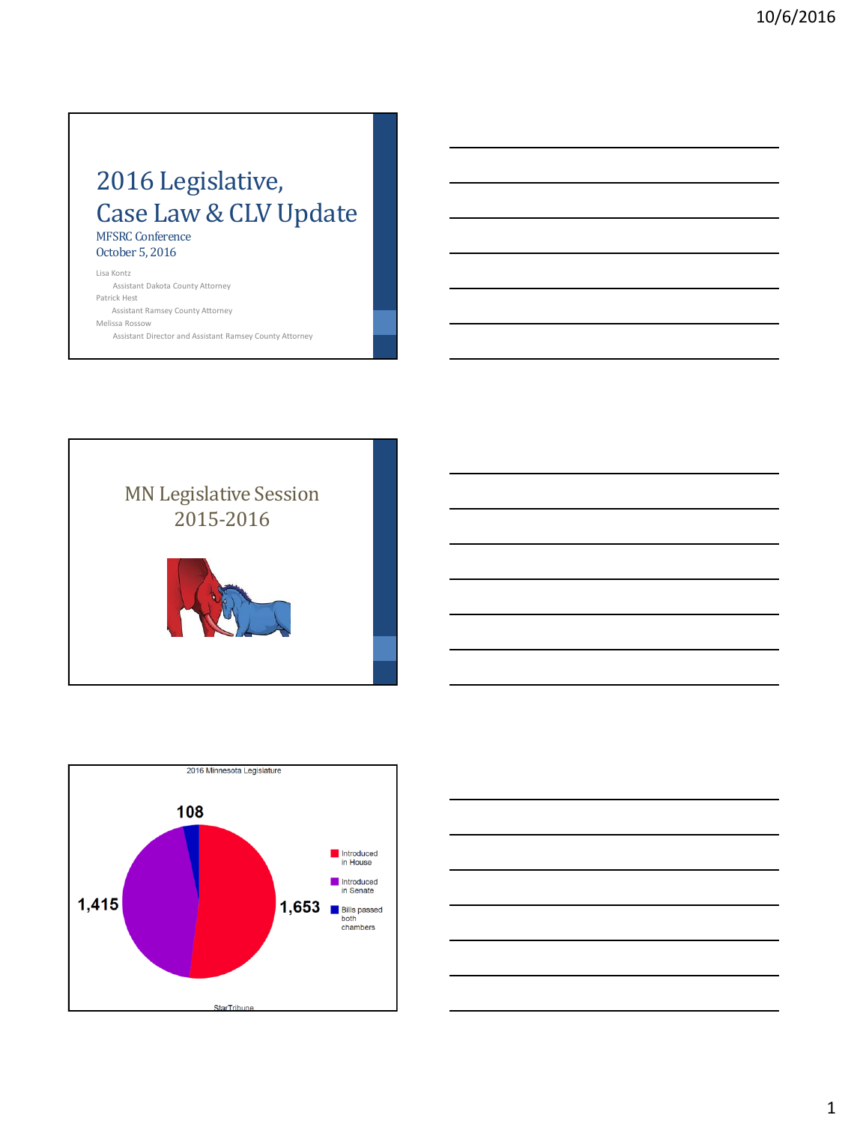### 2016 Legislative, Case Law & CLV Update MFSRC Conference October 5, 2016

Lisa Kontz Assistant Dakota County Attorney Patrick Hest Assistant Ramsey County Attorney Melissa Rossow Assistant Director and Assistant Ramsey County Attorney





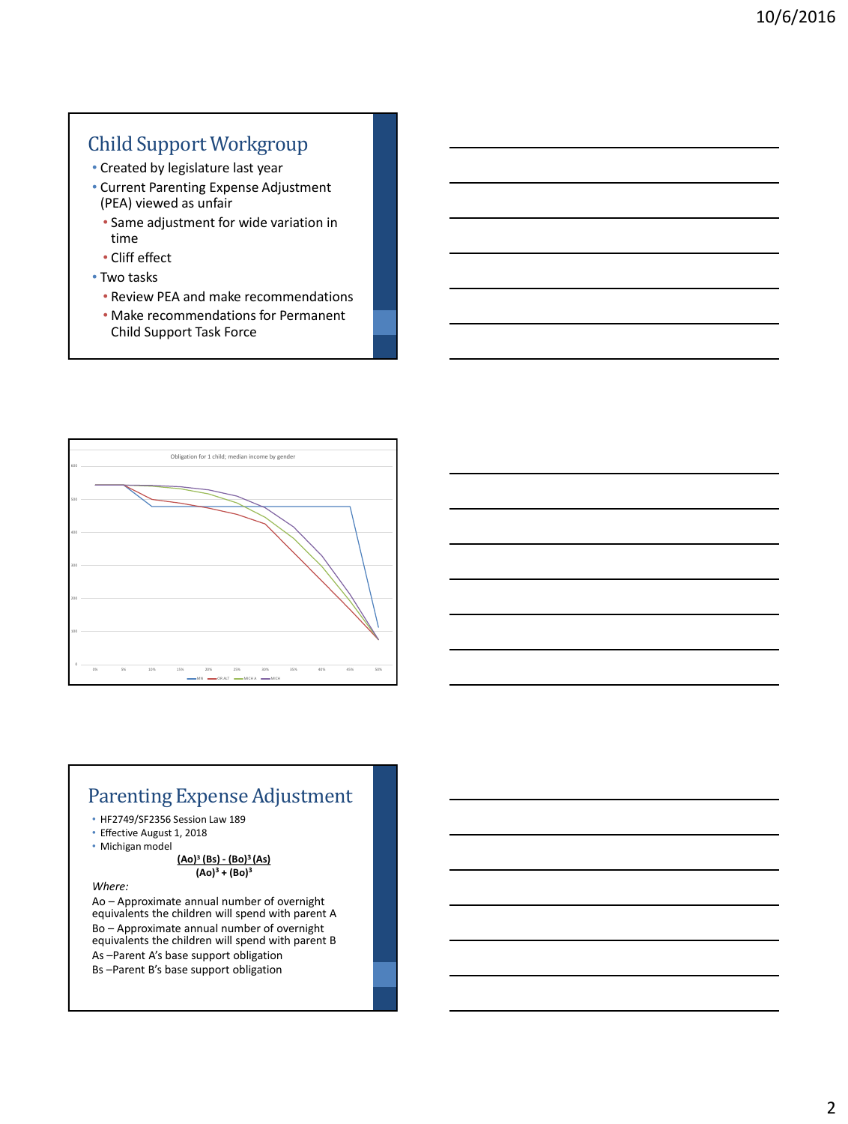## Child Support Workgroup

- Created by legislature last year
- Current Parenting Expense Adjustment (PEA) viewed as unfair
	- Same adjustment for wide variation in time
	- Cliff effect
- Two tasks
	- Review PEA and make recommendations
	- Make recommendations for Permanent Child Support Task Force



#### Parenting Expense Adjustment

- HF2749/SF2356 Session Law 189
- Effective August 1, 2018
- Michigan model

#### **(Ao)<sup>3</sup> (Bs) - (Bo)<sup>3</sup>(As)**  $(Ao)<sup>3</sup> + (Bo)<sup>3</sup>$

*Where:*

Ao – Approximate annual number of overnight equivalents the children will spend with parent A Bo – Approximate annual number of overnight equivalents the children will spend with parent B As –Parent A's base support obligation Bs –Parent B's base support obligation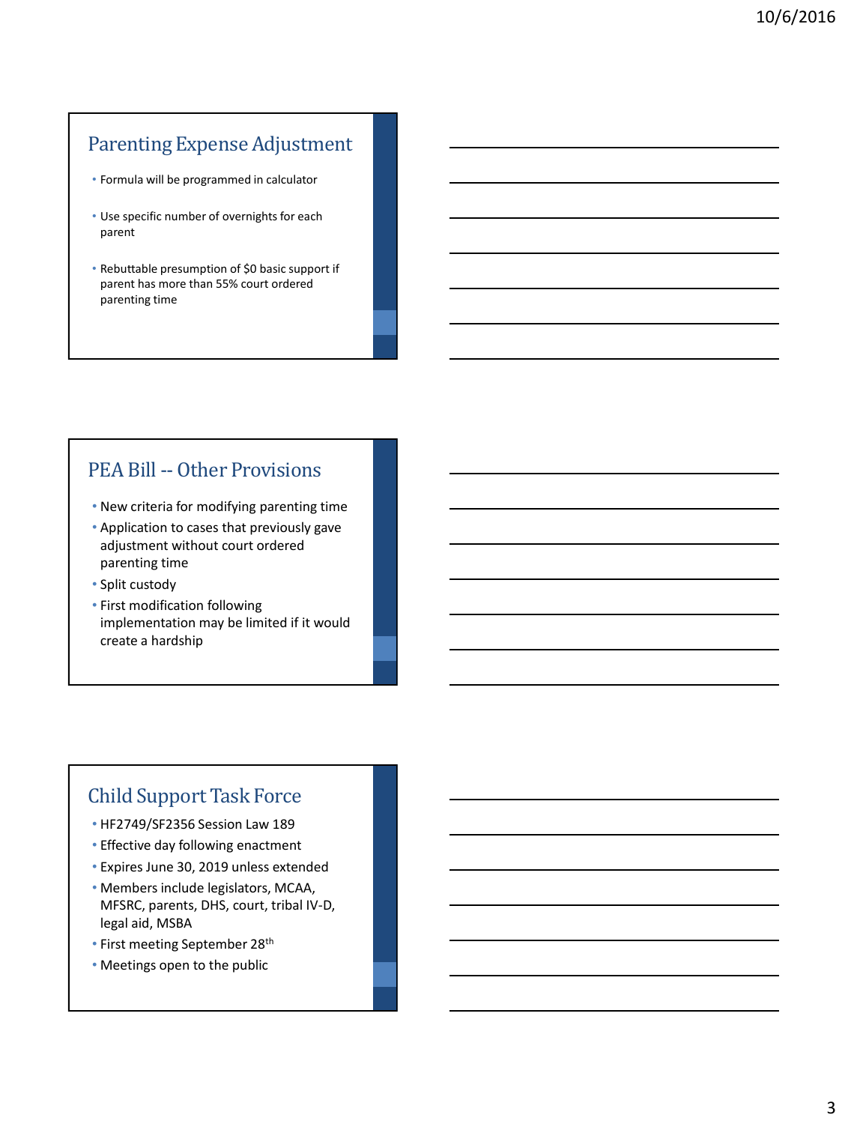## Parenting Expense Adjustment

- Formula will be programmed in calculator
- Use specific number of overnights for each parent
- Rebuttable presumption of \$0 basic support if parent has more than 55% court ordered parenting time

#### PEA Bill -- Other Provisions

- New criteria for modifying parenting time
- Application to cases that previously gave adjustment without court ordered parenting time
- Split custody
- First modification following implementation may be limited if it would create a hardship

#### Child Support Task Force

- HF2749/SF2356 Session Law 189
- Effective day following enactment
- Expires June 30, 2019 unless extended
- Members include legislators, MCAA, MFSRC, parents, DHS, court, tribal IV-D, legal aid, MSBA
- First meeting September 28th
- Meetings open to the public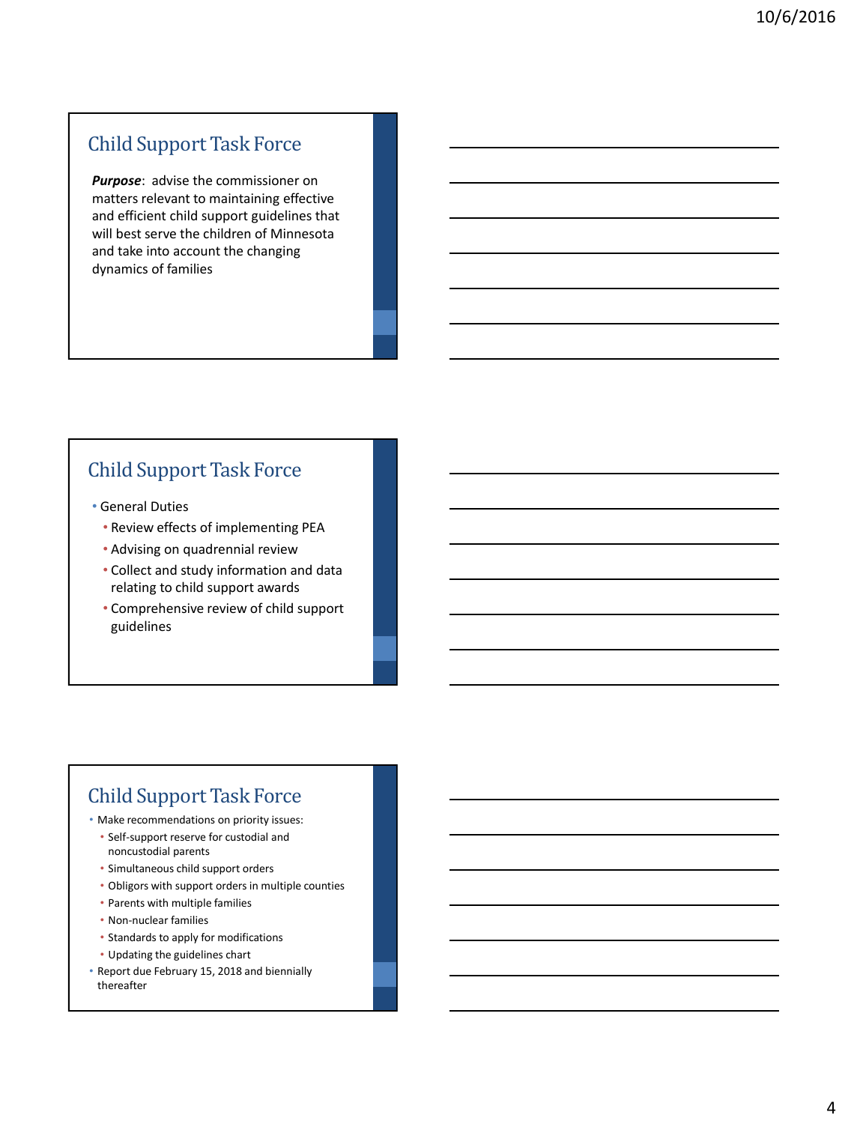### Child Support Task Force

*Purpose*: advise the commissioner on matters relevant to maintaining effective and efficient child support guidelines that will best serve the children of Minnesota and take into account the changing dynamics of families

## Child Support Task Force

- General Duties
	- Review effects of implementing PEA
	- Advising on quadrennial review
	- Collect and study information and data relating to child support awards
	- Comprehensive review of child support guidelines

## Child Support Task Force

- Make recommendations on priority issues:
	- Self-support reserve for custodial and noncustodial parents
	- Simultaneous child support orders
	- Obligors with support orders in multiple counties
	- Parents with multiple families
	- Non-nuclear families
	- Standards to apply for modifications
	- Updating the guidelines chart
- Report due February 15, 2018 and biennially thereafter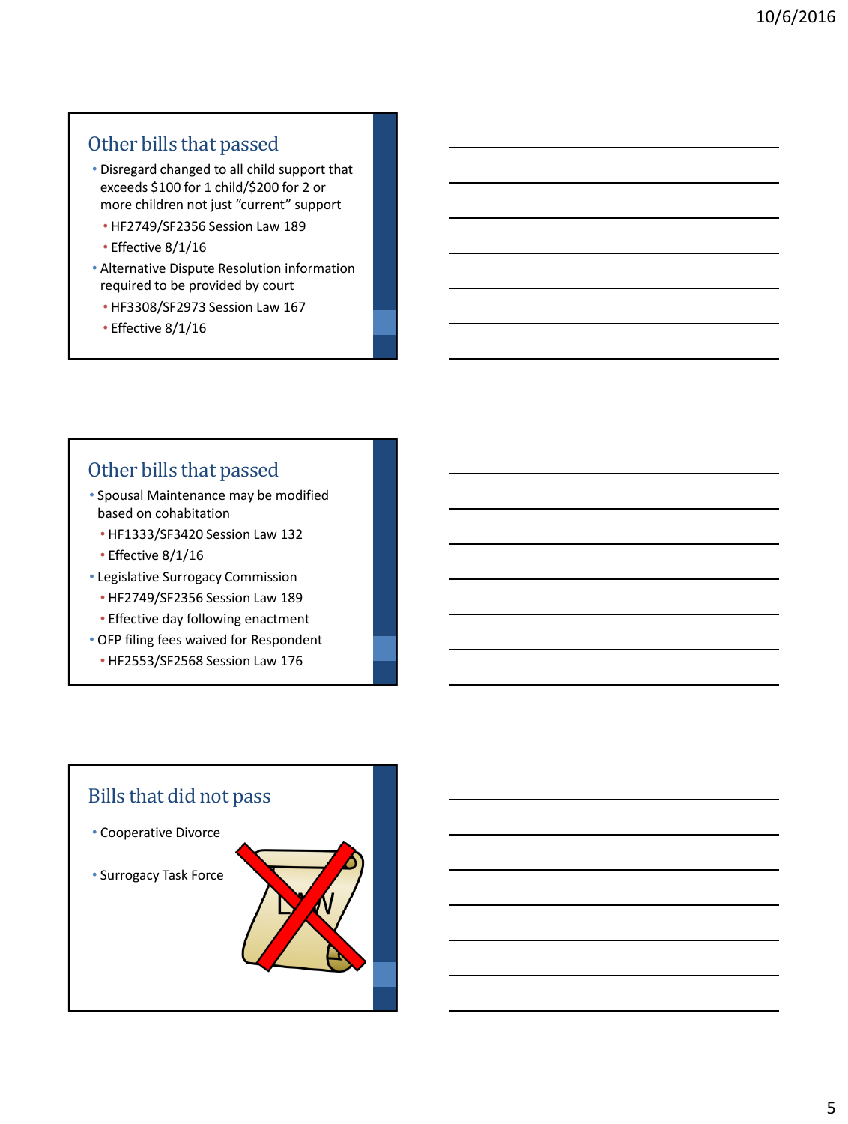## Other bills that passed

- Disregard changed to all child support that exceeds \$100 for 1 child/\$200 for 2 or more children not just "current" support
	- HF2749/SF2356 Session Law 189
	- Effective 8/1/16
- Alternative Dispute Resolution information required to be provided by court
	- HF3308/SF2973 Session Law 167
	- Effective 8/1/16

#### Other bills that passed

- Spousal Maintenance may be modified based on cohabitation
	- HF1333/SF3420 Session Law 132
	- Effective 8/1/16
- Legislative Surrogacy Commission
	- HF2749/SF2356 Session Law 189
	- Effective day following enactment
- OFP filing fees waived for Respondent
	- HF2553/SF2568 Session Law 176

# Bills that did not pass • Cooperative Divorce • Surrogacy Task Force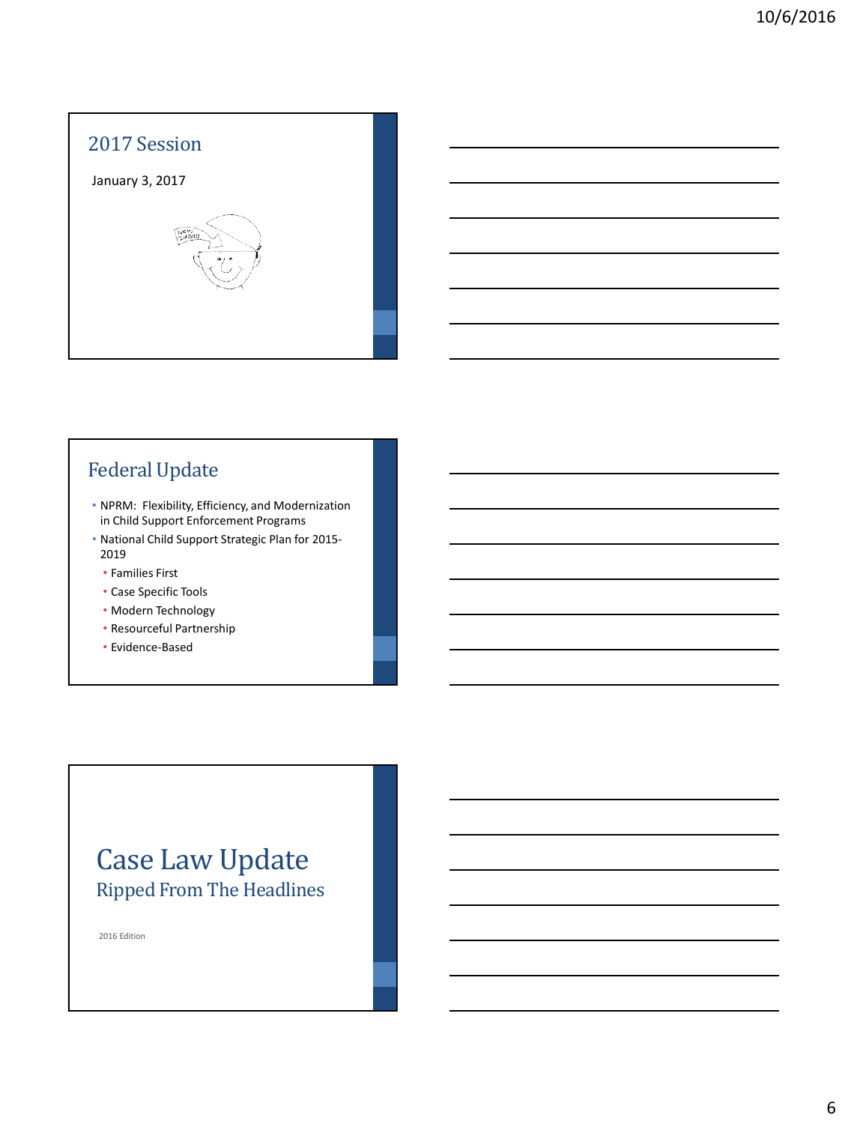

## Federal Update

- NPRM: Flexibility, Efficiency, and Modernization in Child Support Enforcement Programs
- National Child Support Strategic Plan for 2015- 2019
	- Families First
	- Case Specific Tools
	- Modern Technology
	- Resourceful Partnership
	- Evidence-Based

## Case Law Update Ripped From The Headlines

2016 Edition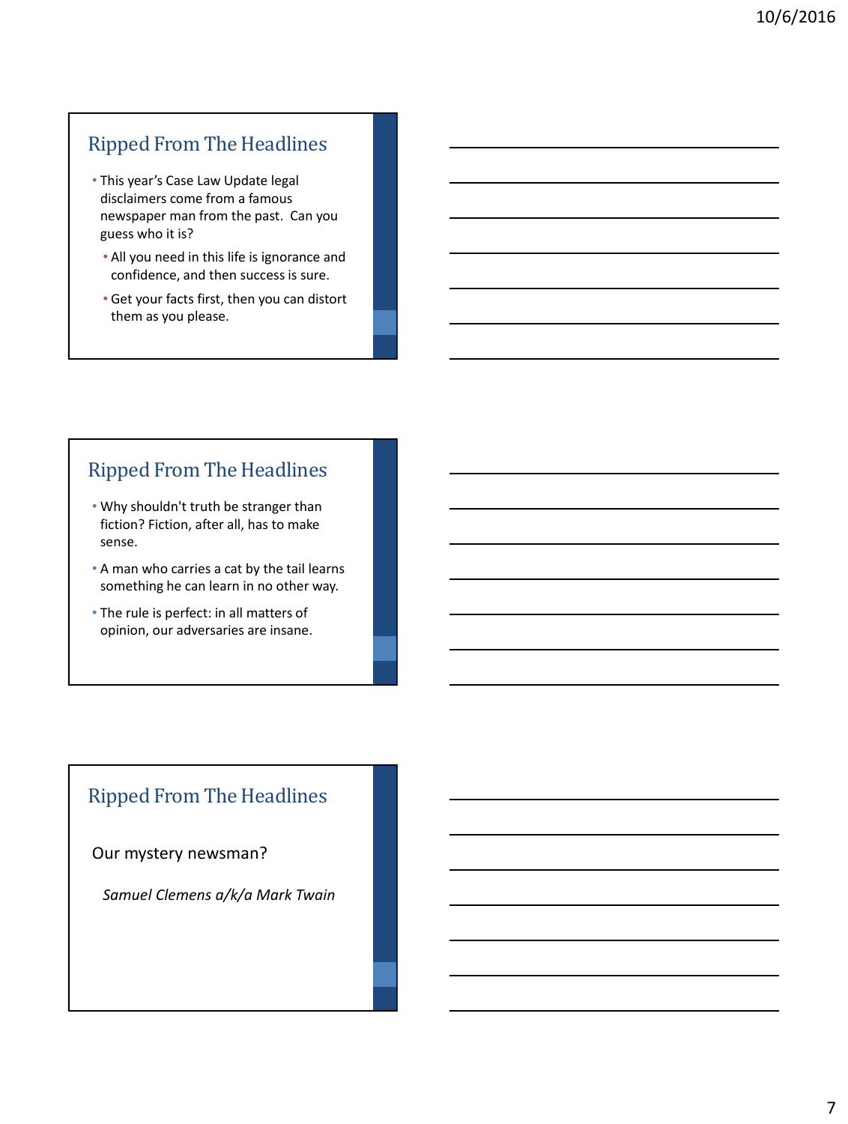#### Ripped From The Headlines

- This year's Case Law Update legal disclaimers come from a famous newspaper man from the past. Can you guess who it is?
	- All you need in this life is ignorance and confidence, and then success is sure.
	- Get your facts first, then you can distort them as you please.

#### Ripped From The Headlines

- Why shouldn't truth be stranger than fiction? Fiction, after all, has to make sense.
- A man who carries a cat by the tail learns something he can learn in no other way.
- The rule is perfect: in all matters of opinion, our adversaries are insane.

## Ripped From The Headlines

#### Our mystery newsman?

*Samuel Clemens a/k/a Mark Twain*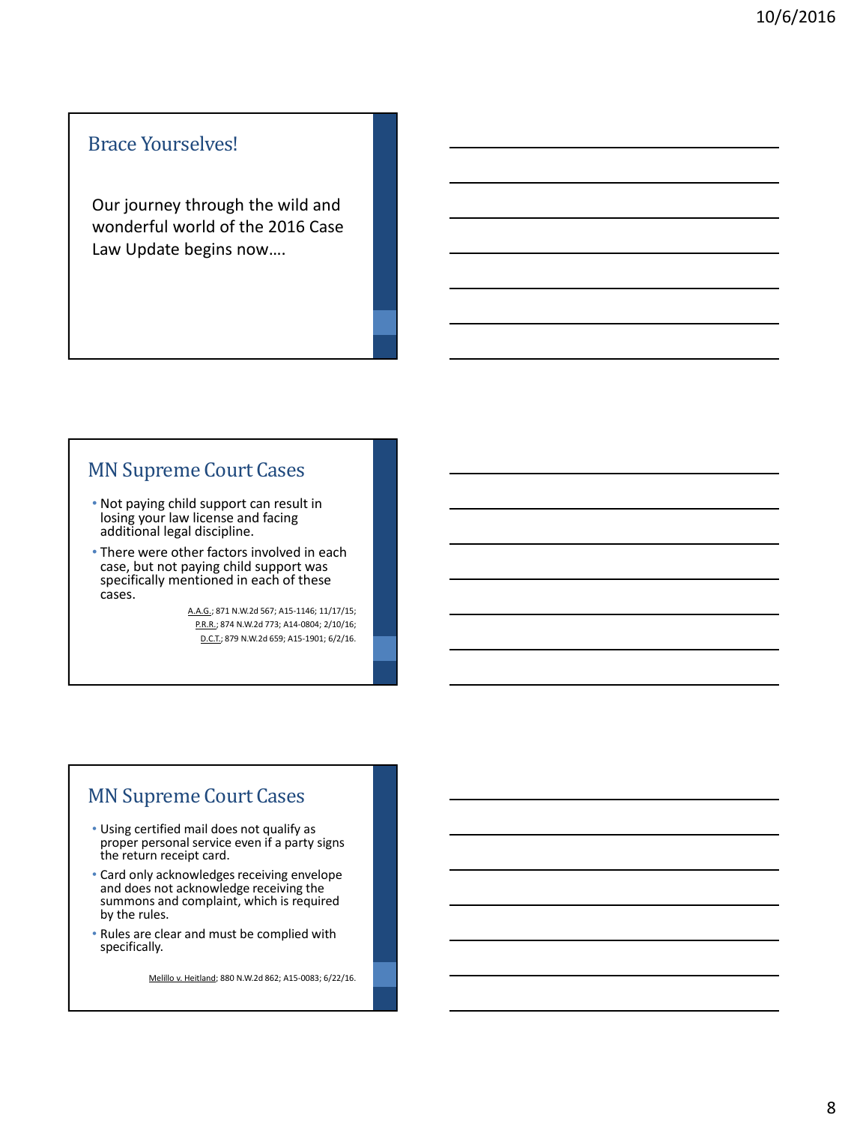#### Brace Yourselves!

Our journey through the wild and wonderful world of the 2016 Case Law Update begins now….

#### MN Supreme Court Cases

- Not paying child support can result in losing your law license and facing additional legal discipline.
- There were other factors involved in each case, but not paying child support was specifically mentioned in each of these cases.

A.A.G.; 871 N.W.2d 567; A15-1146; 11/17/15; P.R.R.; 874 N.W.2d 773; A14-0804; 2/10/16; D.C.T.; 879 N.W.2d 659; A15-1901; 6/2/16.

#### MN Supreme Court Cases

- Using certified mail does not qualify as proper personal service even if a party signs the return receipt card.
- Card only acknowledges receiving envelope and does not acknowledge receiving the summons and complaint, which is required by the rules.
- Rules are clear and must be complied with specifically.

Melillo v. Heitland; 880 N.W.2d 862; A15-0083; 6/22/16.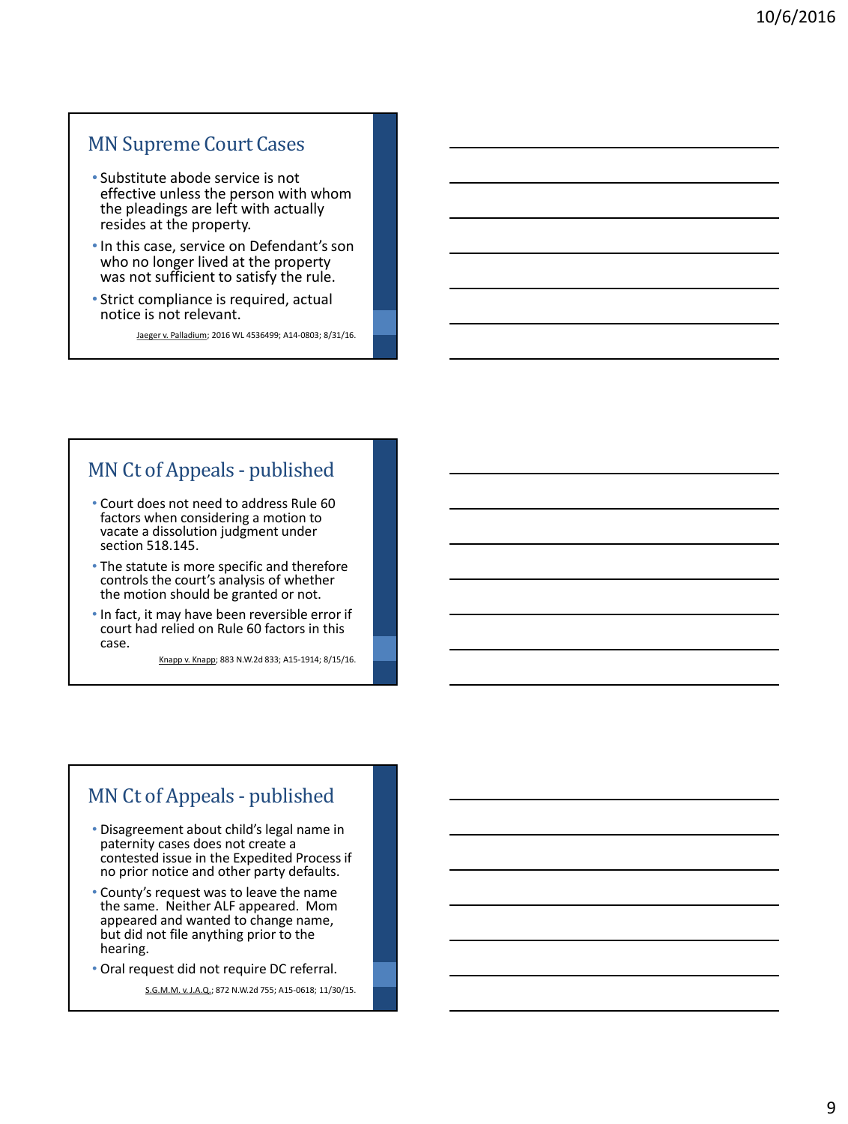#### MN Supreme Court Cases

- Substitute abode service is not effective unless the person with whom the pleadings are left with actually resides at the property.
- •In this case, service on Defendant's son who no longer lived at the property was not sufficient to satisfy the rule.
- Strict compliance is required, actual notice is not relevant.

Jaeger v. Palladium; 2016 WL 4536499; A14-0803; 8/31/16.

#### MN Ct of Appeals - published

- Court does not need to address Rule 60 factors when considering a motion to vacate a dissolution judgment under section 518.145.
- The statute is more specific and therefore controls the court's analysis of whether the motion should be granted or not.
- In fact, it may have been reversible error if court had relied on Rule 60 factors in this case.

Knapp v. Knapp; 883 N.W.2d 833; A15-1914; 8/15/16.

#### MN Ct of Appeals - published

- Disagreement about child's legal name in paternity cases does not create a contested issue in the Expedited Process if no prior notice and other party defaults.
- County's request was to leave the name the same. Neither ALF appeared. Mom appeared and wanted to change name, but did not file anything prior to the hearing.
- Oral request did not require DC referral.

S.G.M.M. v. J.A.Q.; 872 N.W.2d 755; A15-0618; 11/30/15.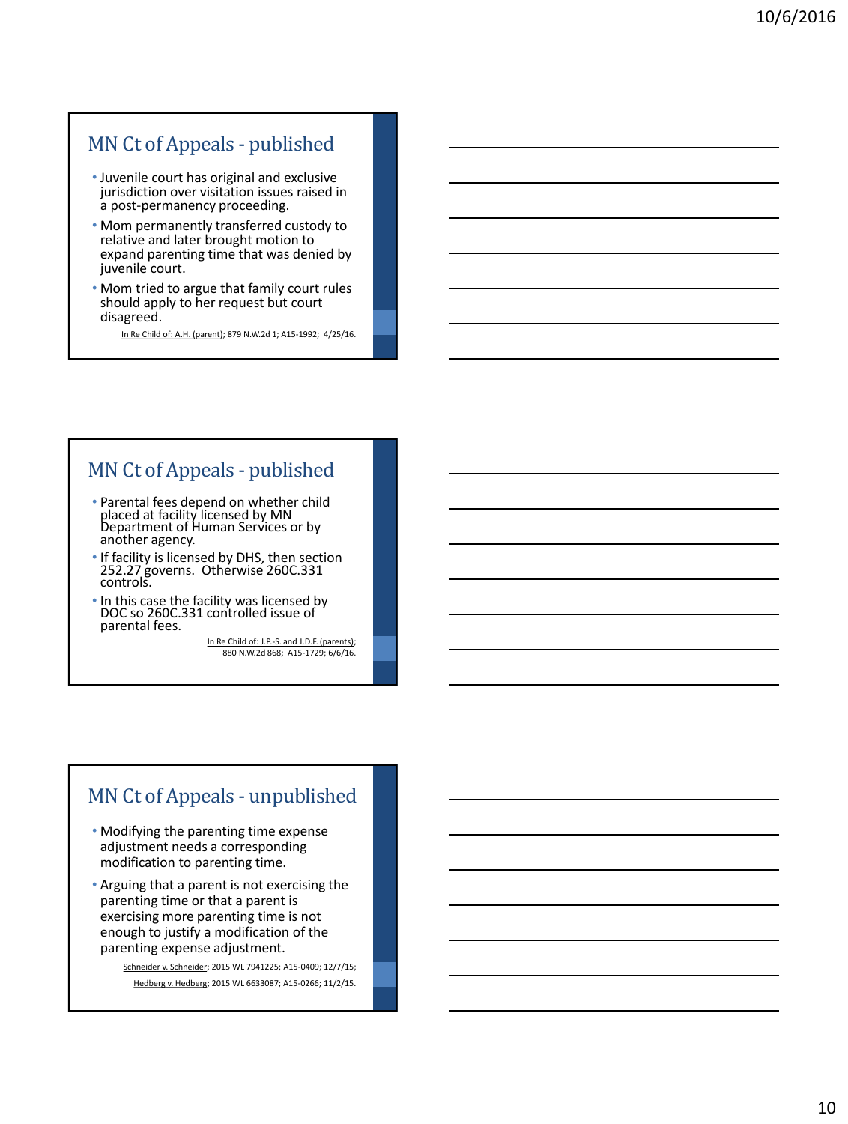#### MN Ct of Appeals - published

- Juvenile court has original and exclusive jurisdiction over visitation issues raised in a post-permanency proceeding.
- Mom permanently transferred custody to relative and later brought motion to expand parenting time that was denied by juvenile court.
- Mom tried to argue that family court rules should apply to her request but court disagreed.

In Re Child of: A.H. (parent); 879 N.W.2d 1; A15-1992; 4/25/16.

#### MN Ct of Appeals - published

- Parental fees depend on whether child placed at facility licensed by MN Department of Human Services or by another agency.
- If facility is licensed by DHS, then section 252.27 governs. Otherwise 260C.331 controls.
- In this case the facility was licensed by DOC so 260C.331 controlled issue of parental fees.

In Re Child of: J.P.-S. and J.D.F. (parents); 880 N.W.2d 868; A15-1729; 6/6/16.

#### MN Ct of Appeals - unpublished

- Modifying the parenting time expense adjustment needs a corresponding modification to parenting time.
- Arguing that a parent is not exercising the parenting time or that a parent is exercising more parenting time is not enough to justify a modification of the parenting expense adjustment.

Schneider v. Schneider; 2015 WL 7941225; A15-0409; 12/7/15; Hedberg v. Hedberg; 2015 WL 6633087; A15-0266; 11/2/15.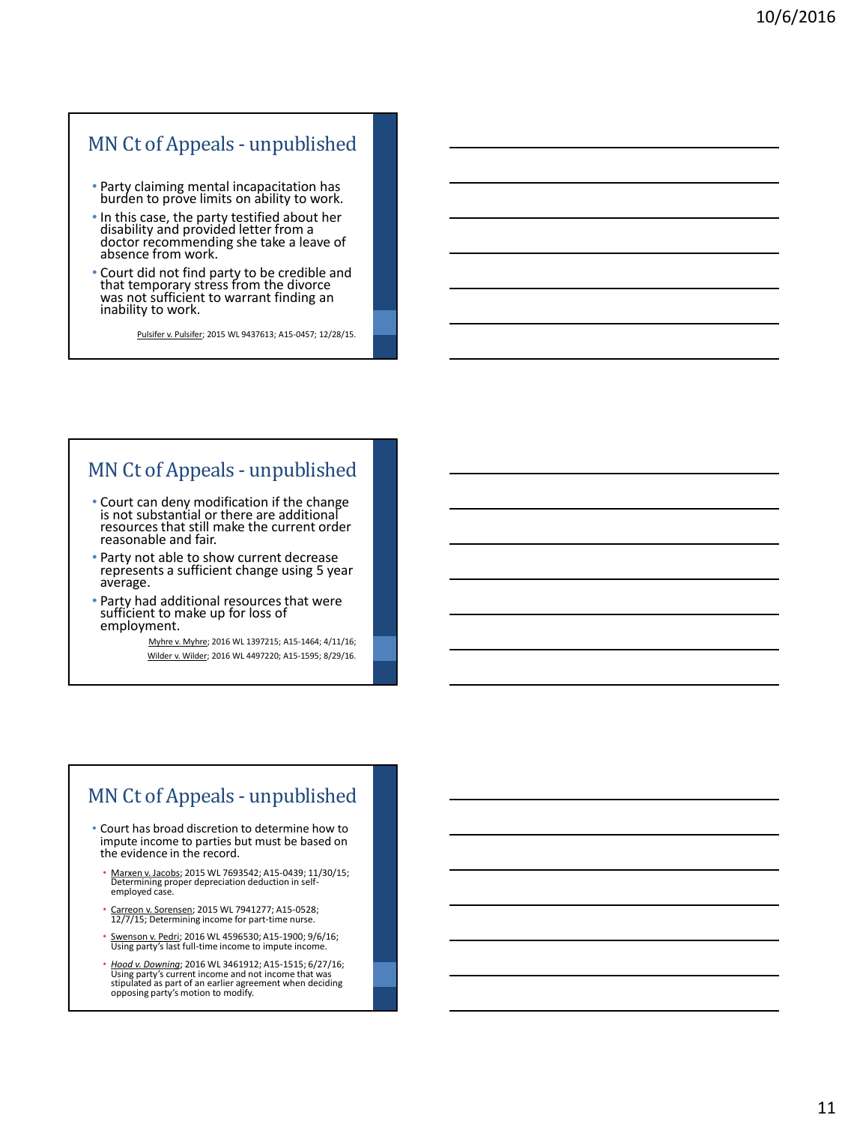#### MN Ct of Appeals - unpublished

- Party claiming mental incapacitation has burden to prove limits on ability to work.
- In this case, the party testified about her disability and provided letter from a doctor recommending she take a leave of absence from work.
- Court did not find party to be credible and that temporary stress from the divorce was not sufficient to warrant finding an inability to work.

Pulsifer v. Pulsifer; 2015 WL 9437613; A15-0457; 12/28/15.

#### MN Ct of Appeals - unpublished

- Court can deny modification if the change is not substantial or there are additional resources that still make the current order reasonable and fair.
- Party not able to show current decrease represents a sufficient change using 5 year average.
- Party had additional resources that were sufficient to make up for loss of employment.

Myhre v. Myhre; 2016 WL 1397215; A15-1464; 4/11/16; Wilder v. Wilder; 2016 WL 4497220; A15-1595; 8/29/16.

#### MN Ct of Appeals - unpublished

- Court has broad discretion to determine how to impute income to parties but must be based on the evidence in the record.
	- Marxen v. Jacobs; 2015 WL 7693542; A15-0439; 11/30/15; Determining proper depreciation deduction in self-employed case.
	- Carreon v. Sorensen; 2015 WL 7941277; A15-0528; 12/7/15; Determining income for part-time nurse.
	- Swenson v. Pedri; 2016 WL 4596530; A15-1900; 9/6/16; Using party's last full-time income to impute income.
	- *Hood v. Downing*; 2016 WL 3461912; A15-1515; 6/27/16; Using party's current income and not income that was stipulated as part of an earlier agreement when deciding opposing party's motion to modify.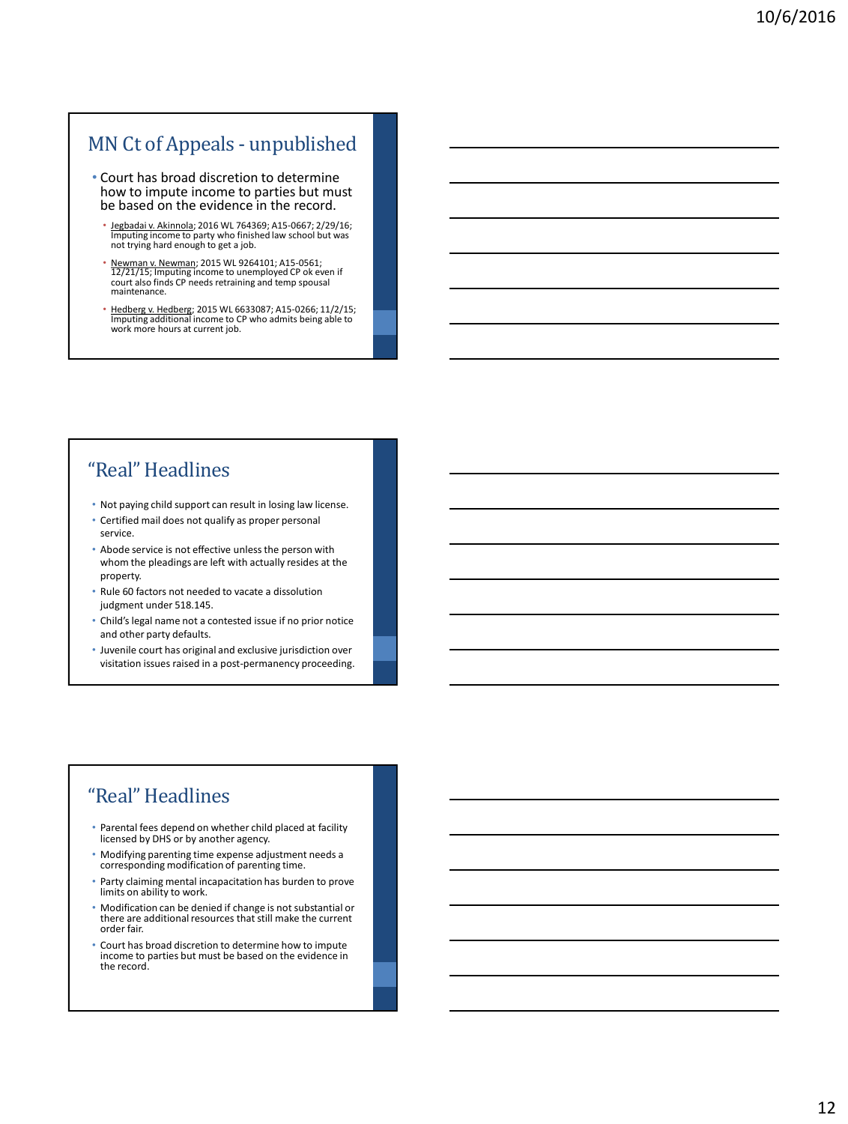#### MN Ct of Appeals - unpublished

- Court has broad discretion to determine how to impute income to parties but must be based on the evidence in the record.
	- Jegbadai v. Akinnola; 2016 WL 764369; A15-0667; 2/29/16; Imputing income to party who finished law school but was not trying hard enough to get a job.
	- Newman v. Newman; 2015 WL 9264101; A15-0561;<br>12/21/15; Imputing income to unemployed CP ok even if<br>court also finds CP needs retraining and temp spousal maintenance.
	- Hedberg v. Hedberg; 2015 WL 6633087; A15-0266; 11/2/15; Imputing additional income to CP who admits being able to work more hours at current job.

#### "Real" Headlines

- Not paying child support can result in losing law license.
- Certified mail does not qualify as proper personal service.
- Abode service is not effective unless the person with whom the pleadings are left with actually resides at the property.
- Rule 60 factors not needed to vacate a dissolution judgment under 518.145.
- Child's legal name not a contested issue if no prior notice and other party defaults.
- Juvenile court has original and exclusive jurisdiction over visitation issues raised in a post-permanency proceeding.

## "Real" Headlines

- Parental fees depend on whether child placed at facility licensed by DHS or by another agency.
- Modifying parenting time expense adjustment needs a corresponding modification of parenting time.
- Party claiming mental incapacitation has burden to prove limits on ability to work.
- Modification can be denied if change is not substantial or there are additional resources that still make the current order fair.
- Court has broad discretion to determine how to impute income to parties but must be based on the evidence in the record.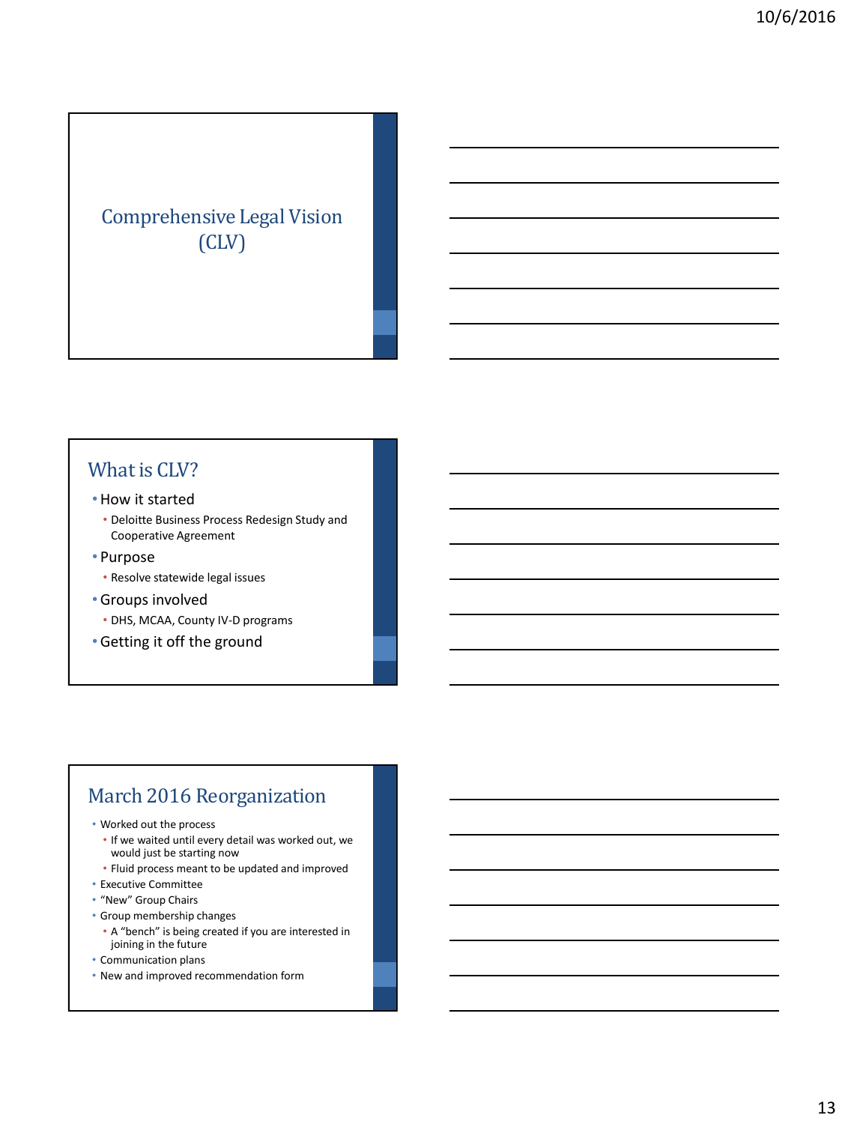## Comprehensive Legal Vision (CLV)

#### What is CLV?

- •How it started
	- Deloitte Business Process Redesign Study and Cooperative Agreement
- Purpose
	- Resolve statewide legal issues
- •Groups involved
	- DHS, MCAA, County IV-D programs
- •Getting it off the ground

### March 2016 Reorganization

- Worked out the process
	- If we waited until every detail was worked out, we would just be starting now
- Fluid process meant to be updated and improved
- Executive Committee
- "New" Group Chairs
- Group membership changes
- A "bench" is being created if you are interested in joining in the future
- Communication plans
- New and improved recommendation form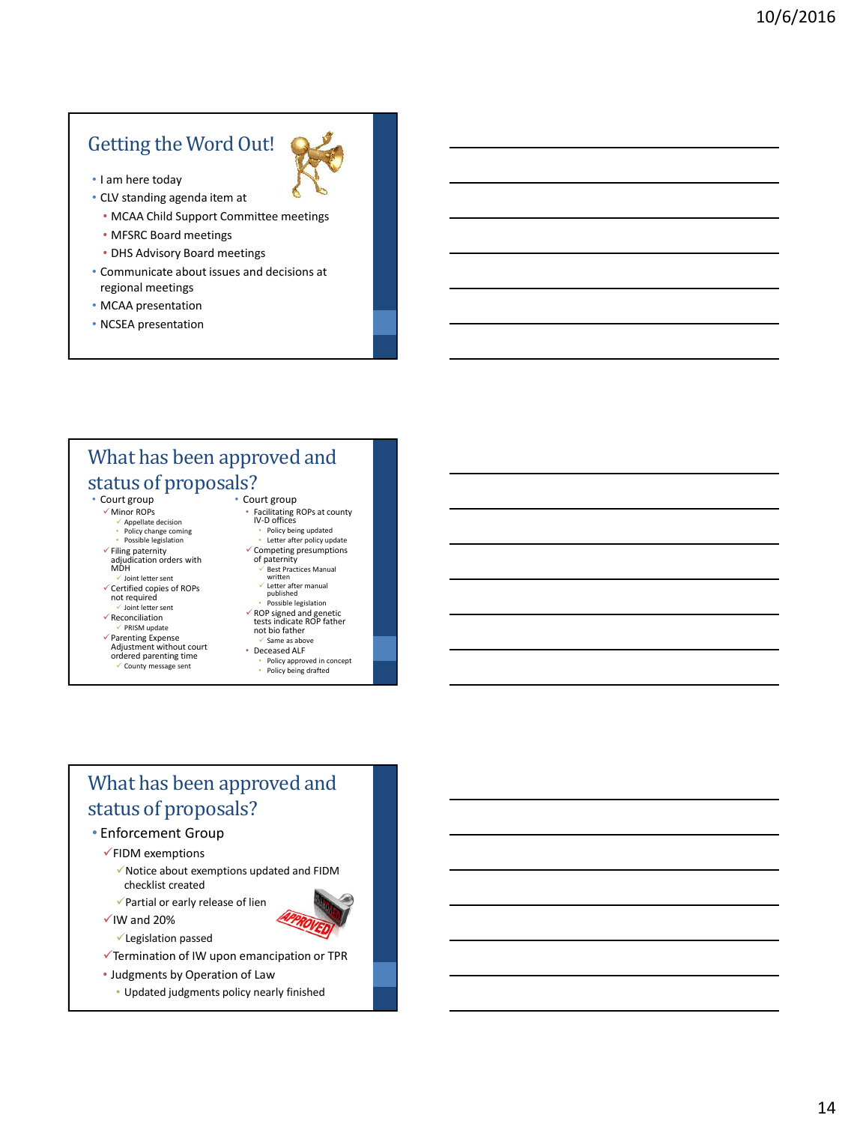## Getting the Word Out!



- CLV standing agenda item at
	- MCAA Child Support Committee meetings
	- MFSRC Board meetings
	- DHS Advisory Board meetings
- Communicate about issues and decisions at regional meetings
- MCAA presentation
- NCSEA presentation

## What has been approved and status of proposals?

- Court group Minor ROPs
	- $\checkmark$  Appellate decision
	- Policy change coming • Possible legislation
	- $\checkmark$  Filing paternity
	- adjudication orders with MDH
	- $\checkmark$  Joint letter sent
	- $\checkmark$  Certified copies of ROPs not required
	- Joint letter sent  $\checkmark$  Reconciliation
	- $\checkmark$  PRISM update
	- Parenting Expense Adjustment without court ordered parenting time
	-
	- County message sent
- Court group • Facilitating ROPs at county IV-D offices
	- Policy being updated Letter after policy update
	- Competing presumptions of paternity
		- Best Practices Manual written Letter after manual
	- published Possible legislation ROP signed and genetic tests indicate ROP father not bio father
	- $\checkmark$  Same as above • Deceased ALF
	- Policy approved in concept • Policy being drafted

## What has been approved and status of proposals?

- Enforcement Group
	- $\checkmark$ FIDM exemptions
		- $\checkmark$  Notice about exemptions updated and FIDM checklist created
	- $\checkmark$  Partial or early release of lien
	- $\checkmark$  IW and 20%
		- Legislation passed
	- Termination of IW upon emancipation or TPR
	- Judgments by Operation of Law
		- Updated judgments policy nearly finished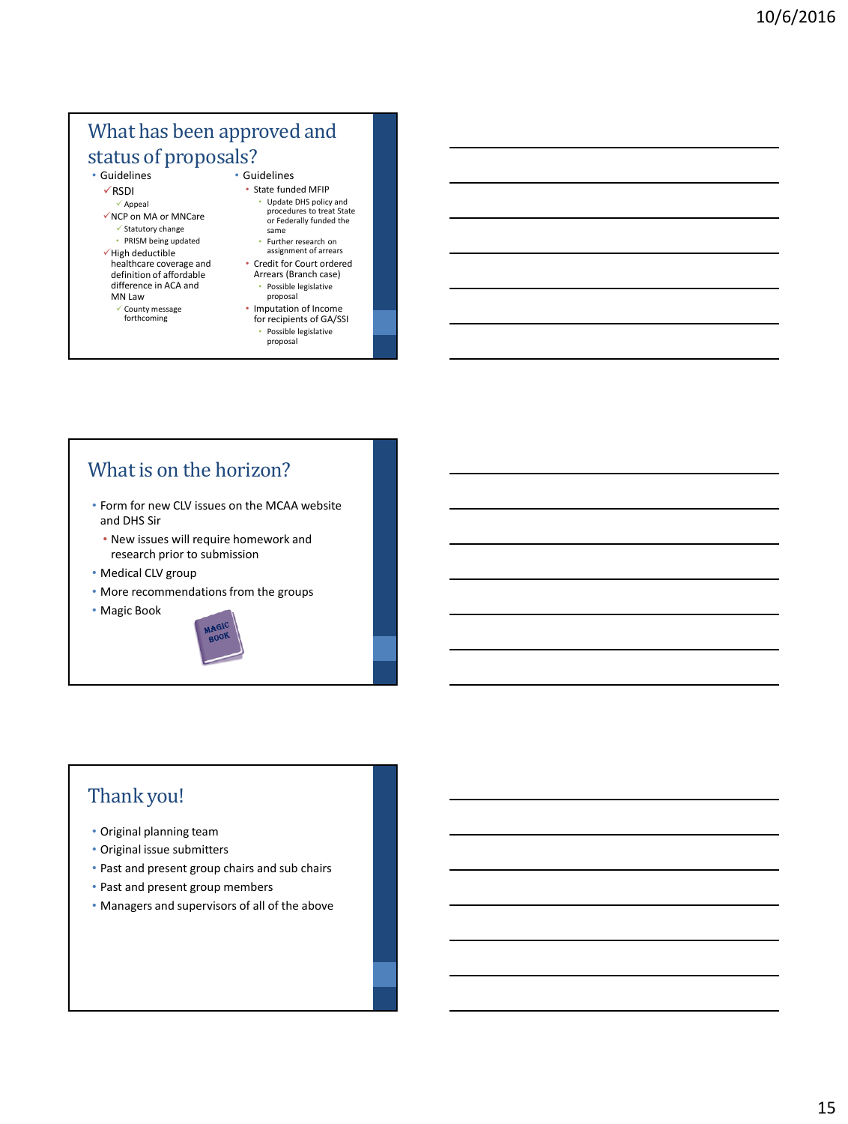#### What has been approved and status of proposals? • Guidelines

• Guidelines

- RSDI
- $\checkmark$  Appeal NCP on MA or MNCare  $\checkmark$  Statutory change • PRISM being updated  $\checkmark$  High deductible
- healthcare coverage and definition of affordable difference in ACA and MN Law
	- County message forthcoming
- Update DHS policy and procedures to treat State or Federally funded the same
	- Further research on assignment of arrears

• State funded MFIP

- Credit for Court ordered Arrears (Branch case)
- Possible legislative proposal • Imputation of Income
- for recipients of GA/SSI • Possible legislative proposal

## What is on the horizon?

- Form for new CLV issues on the MCAA website and DHS Sir
	- New issues will require homework and research prior to submission
- Medical CLV group
- More recommendations from the groups
- Magic Book



## Thank you!

- Original planning team
- Original issue submitters
- Past and present group chairs and sub chairs
- Past and present group members
- Managers and supervisors of all of the above